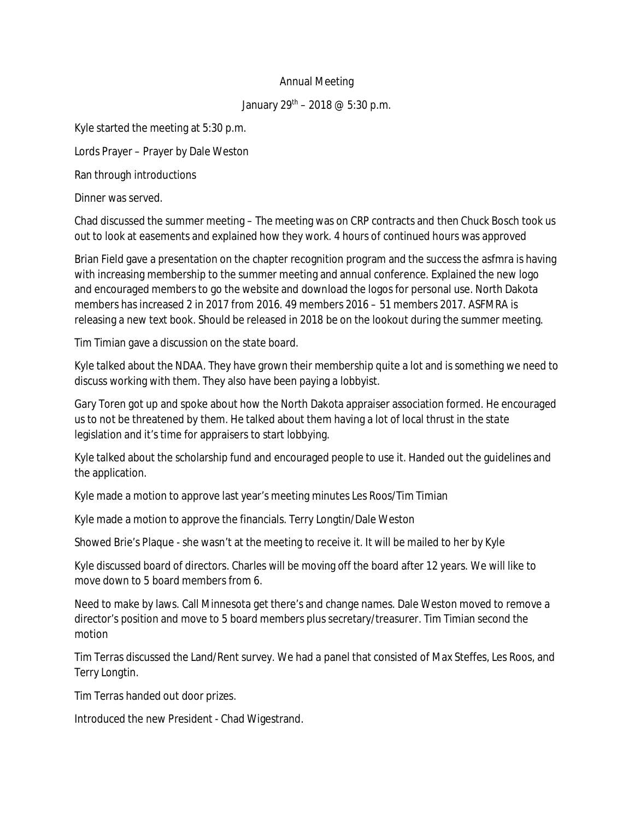## Annual Meeting

## January  $29^{th}$  – 2018 @ 5:30 p.m.

Kyle started the meeting at 5:30 p.m.

Lords Prayer – Prayer by Dale Weston

Ran through introductions

Dinner was served.

Chad discussed the summer meeting – The meeting was on CRP contracts and then Chuck Bosch took us out to look at easements and explained how they work. 4 hours of continued hours was approved

Brian Field gave a presentation on the chapter recognition program and the success the asfmra is having with increasing membership to the summer meeting and annual conference. Explained the new logo and encouraged members to go the website and download the logos for personal use. North Dakota members has increased 2 in 2017 from 2016. 49 members 2016 – 51 members 2017. ASFMRA is releasing a new text book. Should be released in 2018 be on the lookout during the summer meeting.

Tim Timian gave a discussion on the state board.

Kyle talked about the NDAA. They have grown their membership quite a lot and is something we need to discuss working with them. They also have been paying a lobbyist.

Gary Toren got up and spoke about how the North Dakota appraiser association formed. He encouraged us to not be threatened by them. He talked about them having a lot of local thrust in the state legislation and it's time for appraisers to start lobbying.

Kyle talked about the scholarship fund and encouraged people to use it. Handed out the guidelines and the application.

Kyle made a motion to approve last year's meeting minutes Les Roos/Tim Timian

Kyle made a motion to approve the financials. Terry Longtin/Dale Weston

Showed Brie's Plaque - she wasn't at the meeting to receive it. It will be mailed to her by Kyle

Kyle discussed board of directors. Charles will be moving off the board after 12 years. We will like to move down to 5 board members from 6.

Need to make by laws. Call Minnesota get there's and change names. Dale Weston moved to remove a director's position and move to 5 board members plus secretary/treasurer. Tim Timian second the motion

Tim Terras discussed the Land/Rent survey. We had a panel that consisted of Max Steffes, Les Roos, and Terry Longtin.

Tim Terras handed out door prizes.

Introduced the new President - Chad Wigestrand.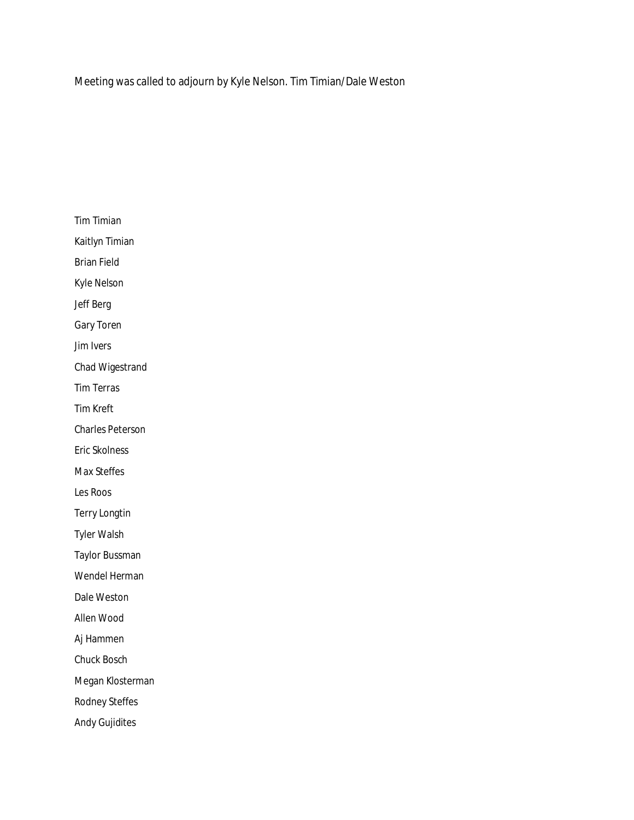Meeting was called to adjourn by Kyle Nelson. Tim Timian/Dale Weston

Tim Timian Kaitlyn Timian Brian Field Kyle Nelson Jeff Berg Gary Toren Jim Ivers Chad Wigestrand Tim Terras Tim Kreft Charles Peterson Eric Skolness Max Steffes Les Roos Terry Longtin Tyler Walsh Taylor Bussman Wendel Herman Dale Weston Allen Wood Aj Hammen Chuck Bosch Megan Klosterman Rodney Steffes Andy Gujidites